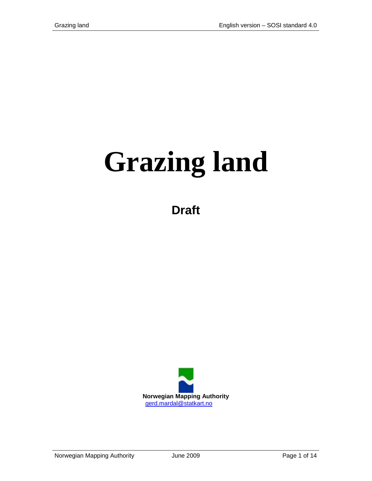# **Grazing land**

**Draft**

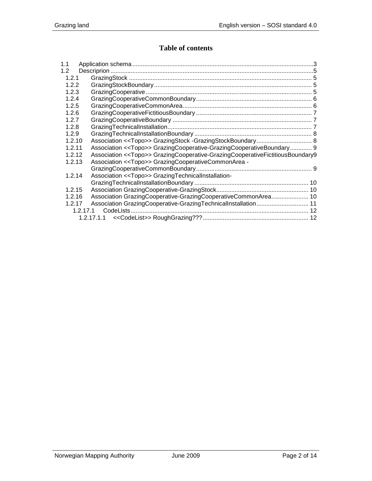## **Table of contents**

| 1.1              |                                                                                          |
|------------------|------------------------------------------------------------------------------------------|
| 1.2 <sub>1</sub> |                                                                                          |
| 1.2.1            |                                                                                          |
| 1.2.2            |                                                                                          |
| 1.2.3            |                                                                                          |
| 1.2.4            |                                                                                          |
| 1.2.5            |                                                                                          |
| 1.2.6            |                                                                                          |
| 1.2.7            |                                                                                          |
| 1.2.8            |                                                                                          |
| 1.2.9            |                                                                                          |
| 1.2.10           |                                                                                          |
| 1.2.11           | Association << Topo>> GrazingCooperative-GrazingCooperativeBoundary 9                    |
| 1.2.12           | Association < <topo>&gt; GrazingCooperative-GrazingCooperativeFictitiousBoundary9</topo> |
| 1.2.13           | Association < <topo>&gt; GrazingCooperativeCommonArea -</topo>                           |
|                  |                                                                                          |
| 1.2.14           | Association < <topo>&gt; GrazingTechnicalInstallation-</topo>                            |
|                  |                                                                                          |
| 1.2.15           |                                                                                          |
| 1.2.16           | Association GrazingCooperative-GrazingCooperativeCommonArea 10                           |
| 1.2.17           | Association GrazingCooperative-GrazingTechnicalInstallation 11                           |
|                  | 1.2.17.1                                                                                 |
|                  |                                                                                          |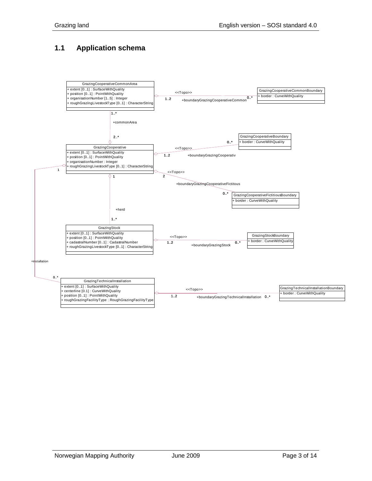## <span id="page-2-0"></span>**1.1 Application schema**

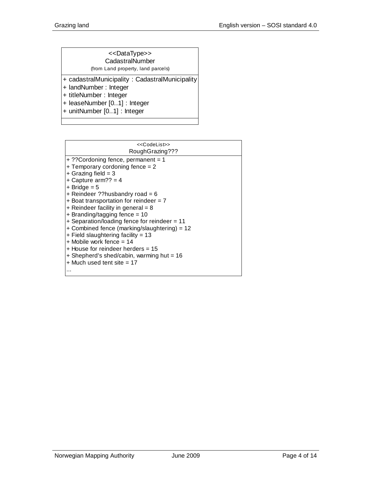| < <datatype>&gt;<br/>CadastralNumber</datatype> |
|-------------------------------------------------|
| (from Land property, land parcels)              |
| + cadastralMunicipality: CadastralMunicipality  |
| + landNumber: Integer                           |

- + titleNumber : Integer
- + leaseNumber [0..1] : Integer
- + unitNumber [0..1] : Integer

| < <codelist>&gt;</codelist>                  |
|----------------------------------------------|
| RoughGrazing???                              |
| + ?? Cordoning fence, permanent = 1          |
| + Temporary cordoning fence $= 2$            |
| $+$ Grazing field = 3                        |
| + Capture arm?? = $4$                        |
| $+$ Bridge = 5                               |
| + Reindeer ??husbandry road = 6              |
| + Boat transportation for reindeer = $7$     |
| + Reindeer facility in general = $8$         |
| $+$ Branding/tagging fence = 10              |
| + Separation/loading fence for reindeer = 11 |
| + Combined fence (marking/slaughtering) = 12 |
| $+$ Field slaughtering facility = 13         |
| $+$ Mobile work fence = 14                   |
| + House for reindeer herders = 15            |
| + Shepherd's shed/cabin, warming hut = 16    |
| $+$ Much used tent site $= 17$               |
| $\ddotsc$                                    |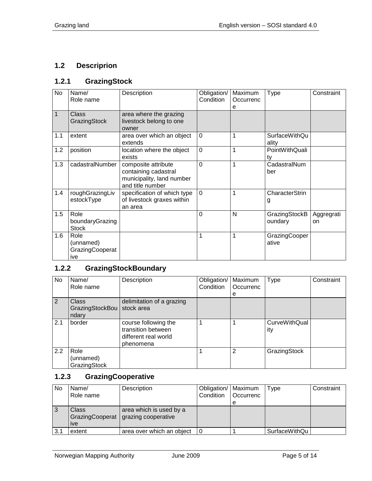# <span id="page-4-0"></span>**1.2 Descriprion**

## <span id="page-4-1"></span>**1.2.1 GrazingStock**

| No  | Name/<br>Role name                          | Description                                                                                  | Obligation/<br>Condition | Maximum<br>Occurrenc<br>е | Type                     | Constraint       |
|-----|---------------------------------------------|----------------------------------------------------------------------------------------------|--------------------------|---------------------------|--------------------------|------------------|
| 1   | <b>Class</b><br>GrazingStock                | area where the grazing<br>livestock belong to one<br>owner                                   |                          |                           |                          |                  |
| 1.1 | extent                                      | area over which an object<br>extends                                                         | $\overline{0}$           | 1                         | SurfaceWithQu<br>ality   |                  |
| 1.2 | position                                    | location where the object<br>exists                                                          | $\overline{0}$           | 1                         | PointWithQuali<br>ty     |                  |
| 1.3 | cadastralNumber                             | composite attribute<br>containing cadastral<br>municipality, land number<br>and title number | $\overline{0}$           | 1                         | CadastralNum<br>ber      |                  |
| 1.4 | roughGrazingLiv<br>estockType               | specification of which type<br>of livestock graxes within<br>an area                         | $\overline{0}$           | 1                         | CharacterStrin<br>g      |                  |
| 1.5 | Role<br>boundaryGrazing<br><b>Stock</b>     |                                                                                              | 0                        | N                         | GrazingStockB<br>oundary | Aggregrati<br>on |
| 1.6 | Role<br>(unnamed)<br>GrazingCooperat<br>ive |                                                                                              | 1                        | 1                         | GrazingCooper<br>ative   |                  |

# <span id="page-4-2"></span>**1.2.2 GrazingStockBoundary**

| No  | Name/<br>Role name                       | Description                                                                     | Obligation/<br>Condition | Maximum<br>Occurrenc | <b>Type</b>          | Constraint |
|-----|------------------------------------------|---------------------------------------------------------------------------------|--------------------------|----------------------|----------------------|------------|
|     |                                          |                                                                                 |                          | е                    |                      |            |
| 2   | <b>Class</b><br>GrazingStockBou<br>ndary | delimitation of a grazing<br>stock area                                         |                          |                      |                      |            |
| 2.1 | border                                   | course following the<br>transition between<br>different real world<br>phenomena |                          |                      | CurveWithQual<br>ity |            |
| 2.2 | Role<br>(unnamed)<br>GrazingStock        |                                                                                 |                          | 2                    | GrazingStock         |            |

## <span id="page-4-3"></span>**1.2.3 GrazingCooperative**

| No  | Name/           | Description               | Obligation/   Maximum |                  | Type          | Constraint |
|-----|-----------------|---------------------------|-----------------------|------------------|---------------|------------|
|     | Role name       |                           | Condition             | <b>Occurrenc</b> |               |            |
|     |                 |                           |                       |                  |               |            |
|     | <b>Class</b>    | area which is used by a   |                       |                  |               |            |
|     | GrazingCooperat | grazing cooperative       |                       |                  |               |            |
|     | <i>ive</i>      |                           |                       |                  |               |            |
| 3.1 | extent          | area over which an object |                       |                  | SurfaceWithQu |            |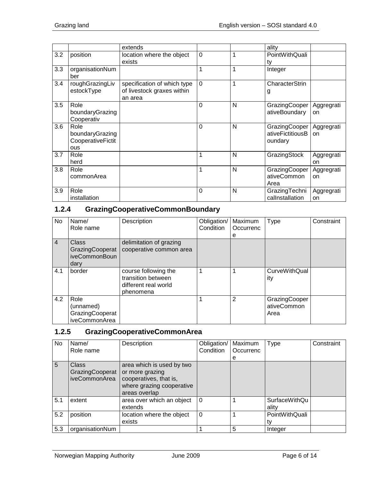|     |                                                            | extends                                                              |                |   | ality                                          |                  |
|-----|------------------------------------------------------------|----------------------------------------------------------------------|----------------|---|------------------------------------------------|------------------|
| 3.2 | position                                                   | location where the object<br>exists                                  | $\mathbf 0$    | 1 | PointWithQuali<br>tv                           |                  |
| 3.3 | organisationNum<br>ber                                     |                                                                      | 1              | 1 | Integer                                        |                  |
| 3.4 | roughGrazingLiv<br>estockType                              | specification of which type<br>of livestock graxes within<br>an area | $\mathbf 0$    | 1 | CharacterStrin<br>g                            |                  |
| 3.5 | Role<br>boundaryGrazing<br>Cooperativ                      |                                                                      | $\overline{0}$ | N | GrazingCooper<br>ativeBoundary                 | Aggregrati<br>on |
| 3.6 | Role<br>boundaryGrazing<br>CooperativeFictit<br><b>ous</b> |                                                                      | $\overline{0}$ | N | GrazingCooper  <br>ativeFictitiousB<br>oundary | Aggregrati<br>on |
| 3.7 | Role<br>herd                                               |                                                                      | 1              | N | GrazingStock                                   | Aggregrati<br>on |
| 3.8 | Role<br>commonArea                                         |                                                                      | 1              | N | GrazingCooper<br>ativeCommon<br>Area           | Aggregrati<br>on |
| 3.9 | Role<br>installation                                       |                                                                      | 0              | N | GrazingTechni<br>callnstallation               | Aggregrati<br>on |

# <span id="page-5-0"></span>**1.2.4 GrazingCooperativeCommonBoundary**

| No             | Name/<br>Role name                                       | Description                                                                     | Obligation/<br>Condition | Maximum<br>Occurrenc<br>е | Type                                 | Constraint |
|----------------|----------------------------------------------------------|---------------------------------------------------------------------------------|--------------------------|---------------------------|--------------------------------------|------------|
| $\overline{4}$ | <b>Class</b><br>GrazingCooperat<br>iveCommonBoun<br>dary | delimitation of grazing<br>cooperative common area                              |                          |                           |                                      |            |
| 4.1            | border                                                   | course following the<br>transition between<br>different real world<br>phenomena |                          |                           | <b>CurveWithQual</b><br>ity          |            |
| 4.2            | Role<br>(unnamed)<br>GrazingCooperat<br>iveCommonArea    |                                                                                 |                          | $\overline{2}$            | GrazingCooper<br>ativeCommon<br>Area |            |

# <span id="page-5-1"></span>**1.2.5 GrazingCooperativeCommonArea**

| No  | Name/                                            | Description                                                                                                          | Obligation/   Maximum |                | <b>Type</b>                   | Constraint |
|-----|--------------------------------------------------|----------------------------------------------------------------------------------------------------------------------|-----------------------|----------------|-------------------------------|------------|
|     | Role name                                        |                                                                                                                      | Condition             | Occurrenc<br>e |                               |            |
| 5   | <b>Class</b><br>GrazingCooperat<br>iveCommonArea | area which is used by two<br>or more grazing<br>cooperatives, that is,<br>where grazing cooperative<br>areas overlap |                       |                |                               |            |
| 5.1 | extent                                           | area over which an object<br>extends                                                                                 | $\Omega$              |                | <b>SurfaceWithQu</b><br>ality |            |
| 5.2 | position                                         | location where the object<br>exists                                                                                  | $\Omega$              |                | PointWithQuali<br>t٧          |            |
| 5.3 | organisationNum                                  |                                                                                                                      |                       | 5              | Integer                       |            |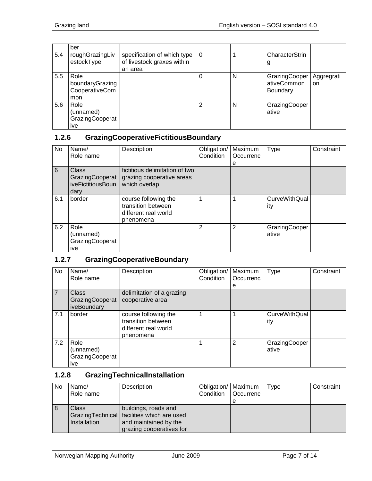|     | ber                                              |                                                                      |          |   |                                                 |                             |
|-----|--------------------------------------------------|----------------------------------------------------------------------|----------|---|-------------------------------------------------|-----------------------------|
| 5.4 | roughGrazingLiv<br>estockType                    | specification of which type<br>of livestock graxes within<br>an area | $\Omega$ |   | CharacterStrin<br>g                             |                             |
| 5.5 | Role<br>boundaryGrazing<br>CooperativeCom<br>mon |                                                                      |          | N | GrazingCooper<br>ativeCommon<br><b>Boundary</b> | Aggregrati<br><sub>on</sub> |
| 5.6 | Role<br>(unnamed)<br>GrazingCooperat<br>ive      |                                                                      | 2        | N | GrazingCooper<br>ative                          |                             |

## <span id="page-6-0"></span>**1.2.6 GrazingCooperativeFictitiousBoundary**

| No  | Name/<br>Role name                                    | Description                                                                     | Obligation/<br>Condition | Maximum<br>Occurrenc<br>е | Type                   | Constraint |
|-----|-------------------------------------------------------|---------------------------------------------------------------------------------|--------------------------|---------------------------|------------------------|------------|
| 6   | Class<br>GrazingCooperat<br>iveFictitiousBoun<br>darv | fictitious delimitation of two<br>grazing cooperative areas<br>which overlap    |                          |                           |                        |            |
| 6.1 | border                                                | course following the<br>transition between<br>different real world<br>phenomena |                          |                           | CurveWithQual<br>ity   |            |
| 6.2 | Role<br>(unnamed)<br>GrazingCooperat<br>ive           |                                                                                 | 2                        | $\overline{2}$            | GrazingCooper<br>ative |            |

## <span id="page-6-1"></span>**1.2.7 GrazingCooperativeBoundary**

| No  | Name/<br>Role name                             | Description                                                                     | Obligation/<br>Condition | Maximum<br>Occurrenc<br>е | <b>Type</b>            | Constraint |
|-----|------------------------------------------------|---------------------------------------------------------------------------------|--------------------------|---------------------------|------------------------|------------|
| 7   | <b>Class</b><br>GrazingCooperat<br>iveBoundary | delimitation of a grazing<br>cooperative area                                   |                          |                           |                        |            |
| 7.1 | border                                         | course following the<br>transition between<br>different real world<br>phenomena |                          |                           | CurveWithQual<br>ity   |            |
| 7.2 | Role<br>(unnamed)<br>GrazingCooperat<br>ive    |                                                                                 |                          | 2                         | GrazingCooper<br>ative |            |

## <span id="page-6-2"></span>**1.2.8 GrazingTechnicalInstallation**

| <b>No</b> | Name/<br>Role name    | Description                                                                                                                | Obligation/   Maximum<br>Condition | <b>Occurrenc</b> | Type | Constraint |
|-----------|-----------------------|----------------------------------------------------------------------------------------------------------------------------|------------------------------------|------------------|------|------------|
|           |                       |                                                                                                                            |                                    | е                |      |            |
| 8         | Class<br>Installation | buildings, roads and<br>Grazing Technical   facilities which are used<br>and maintained by the<br>grazing cooperatives for |                                    |                  |      |            |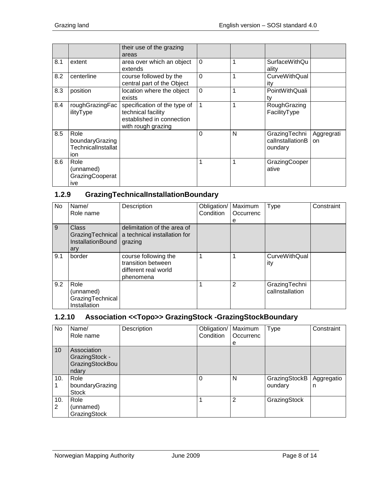|     |                                                       | their use of the grazing<br>areas                                                                     |                |   |                                              |                  |
|-----|-------------------------------------------------------|-------------------------------------------------------------------------------------------------------|----------------|---|----------------------------------------------|------------------|
| 8.1 | extent                                                | area over which an object<br>extends                                                                  | $\Omega$       | 1 | <b>SurfaceWithQu</b><br>ality                |                  |
| 8.2 | centerline                                            | course followed by the<br>central part of the Object                                                  | $\overline{0}$ | 1 | <b>CurveWithQual</b><br>ity                  |                  |
| 8.3 | position                                              | location where the object<br>exists                                                                   | $\overline{0}$ | 1 | PointWithQuali<br>t٧                         |                  |
| 8.4 | roughGrazingFac<br>ilityType                          | specification of the type of<br>technical facility<br>established in connection<br>with rough grazing | 1              | 1 | RoughGrazing<br>FacilityType                 |                  |
| 8.5 | Role<br>boundaryGrazing<br>TechnicalInstallat<br>ion. |                                                                                                       | $\overline{0}$ | N | GrazingTechni<br>callnstallationB<br>oundary | Aggregrati<br>on |
| 8.6 | Role<br>(unnamed)<br>GrazingCooperat<br>ive           |                                                                                                       | 1              | 1 | GrazingCooper<br>ative                       |                  |

## <span id="page-7-0"></span>**1.2.9 GrazingTechnicalInstallationBoundary**

| No  | Name/<br>Role name                                           | Description                                                                     | Obligation/<br>Condition | Maximum<br>Occurrenc<br>е | <b>Type</b>                      | Constraint |
|-----|--------------------------------------------------------------|---------------------------------------------------------------------------------|--------------------------|---------------------------|----------------------------------|------------|
| 9   | Class<br>GrazingTechnical<br><b>InstallationBound</b><br>ary | delimitation of the area of<br>a technical installation for<br>grazing          |                          |                           |                                  |            |
| 9.1 | border                                                       | course following the<br>transition between<br>different real world<br>phenomena | 1                        | 1                         | <b>CurveWithQual</b><br>ity      |            |
| 9.2 | Role<br>(unnamed)<br>GrazingTechnical<br>Installation        |                                                                                 |                          | 2                         | GrazingTechni<br>callnstallation |            |

## <span id="page-7-1"></span>**1.2.10 Association <<Topo>> GrazingStock -GrazingStockBoundary**

| No              | Name/           | Description | Obligation/ | Maximum        | Type          | Constraint |
|-----------------|-----------------|-------------|-------------|----------------|---------------|------------|
|                 | Role name       |             | Condition   | Occurrenc      |               |            |
|                 |                 |             |             | е              |               |            |
| 10 <sup>1</sup> | Association     |             |             |                |               |            |
|                 | GrazingStock -  |             |             |                |               |            |
|                 | GrazingStockBou |             |             |                |               |            |
|                 | ndary           |             |             |                |               |            |
| 10.             | Role            |             | $\Omega$    | N              | GrazingStockB | Aggregatio |
|                 | boundaryGrazing |             |             |                | oundary       | n          |
|                 | <b>Stock</b>    |             |             |                |               |            |
| 10.             | Role            |             | 1           | $\overline{2}$ | GrazingStock  |            |
| 2               | (unnamed)       |             |             |                |               |            |
|                 | GrazingStock    |             |             |                |               |            |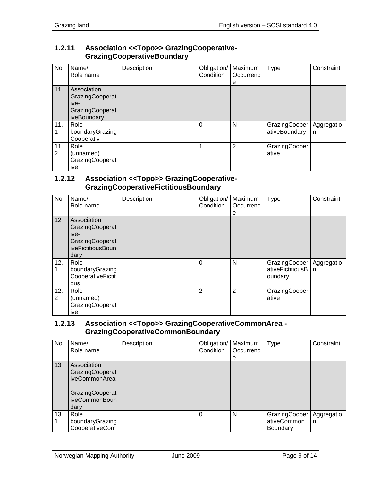#### <span id="page-8-0"></span>**1.2.11 Association <<Topo>> GrazingCooperative-GrazingCooperativeBoundary**

| No       | Name/<br>Role name                                                       | Description | Obligation/   Maximum<br>Condition | Occurrenc<br>е | Type                           | Constraint      |
|----------|--------------------------------------------------------------------------|-------------|------------------------------------|----------------|--------------------------------|-----------------|
| 11       | Association<br>GrazingCooperat<br>ive-<br>GrazingCooperat<br>iveBoundary |             |                                    |                |                                |                 |
| 11.      | Role<br>boundaryGrazing<br>Cooperativ                                    |             | $\Omega$                           | N              | GrazingCooper<br>ativeBoundary | Aggregatio<br>n |
| 11.<br>2 | Role<br>(unnamed)<br>GrazingCooperat<br>ive                              |             | 1                                  | $\overline{2}$ | GrazingCooper<br>ative         |                 |

#### <span id="page-8-1"></span>**1.2.12 Association <<Topo>> GrazingCooperative-GrazingCooperativeFictitiousBoundary**

| No       | Name/<br>Role name                                                                     | Description | Obligation/<br>Condition | Maximum<br>Occurrenc<br>е | Type                                         | Constraint      |
|----------|----------------------------------------------------------------------------------------|-------------|--------------------------|---------------------------|----------------------------------------------|-----------------|
| 12       | Association<br>GrazingCooperat<br>ive-<br>GrazingCooperat<br>iveFictitiousBoun<br>dary |             |                          |                           |                                              |                 |
| 12.      | Role<br>boundaryGrazing<br>CooperativeFictit<br>ous                                    |             | $\Omega$                 | N                         | GrazingCooper<br>ativeFictitiousB<br>oundary | Aggregatio<br>n |
| 12.<br>2 | Role<br>(unnamed)<br>GrazingCooperat<br>ive                                            |             | 2                        | $\overline{2}$            | GrazingCooper<br>ative                       |                 |

#### <span id="page-8-2"></span>**1.2.13 Association <<Topo>> GrazingCooperativeCommonArea - GrazingCooperativeCommonBoundary**

| No  | Name/<br>Role name                                                                          | Description | Obligation/   Maximum<br>Condition | Occurrenc<br>е | <b>Type</b>                              | Constraint      |
|-----|---------------------------------------------------------------------------------------------|-------------|------------------------------------|----------------|------------------------------------------|-----------------|
| 13  | Association<br>GrazingCooperat<br>iveCommonArea<br>GrazingCooperat<br>iveCommonBoun<br>dary |             |                                    |                |                                          |                 |
| 13. | Role<br>boundaryGrazing<br>CooperativeCom                                                   |             | $\Omega$                           | N              | GrazingCooper<br>ativeCommon<br>Boundary | Aggregatio<br>n |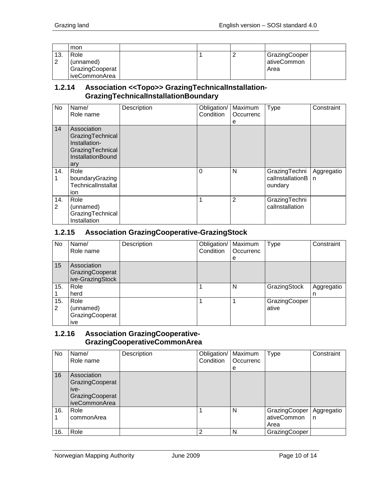|     | mon                                  |  |                                      |  |
|-----|--------------------------------------|--|--------------------------------------|--|
| 13. | Role<br>(unnamed)<br>GrazingCooperat |  | GrazingCooper<br>ativeCommon<br>Area |  |
|     | iveCommonArea                        |  |                                      |  |

#### <span id="page-9-0"></span>**1.2.14 Association <<Topo>> GrazingTechnicalInstallation-GrazingTechnicalInstallationBoundary**

| <b>No</b> | Name/<br>Role name                                                                                      | Description | Obligation/<br>Condition | Maximum<br>Occurrenc<br>e | Type                                         | Constraint                 |
|-----------|---------------------------------------------------------------------------------------------------------|-------------|--------------------------|---------------------------|----------------------------------------------|----------------------------|
| 14        | Association<br>GrazingTechnical<br>Installation-<br>GrazingTechnical<br><b>InstallationBound</b><br>ary |             |                          |                           |                                              |                            |
| 14.       | Role<br>boundaryGrazing<br>TechnicalInstallat<br>ion                                                    |             | $\Omega$                 | N                         | GrazingTechni<br>callnstallationB<br>oundary | Aggregatio<br>$\mathsf{n}$ |
| 14.<br>2  | Role<br>(unnamed)<br>GrazingTechnical<br>Installation                                                   |             |                          | 2                         | GrazingTechni<br>callnstallation             |                            |

#### <span id="page-9-1"></span>**1.2.15 Association GrazingCooperative-GrazingStock**

| No       | Name/<br>Role name                                 | Description | Obligation/<br>Condition | Maximum<br>Occurrenc<br>e | <b>Type</b>            | Constraint      |
|----------|----------------------------------------------------|-------------|--------------------------|---------------------------|------------------------|-----------------|
| 15       | Association<br>GrazingCooperat<br>ive-GrazingStock |             |                          |                           |                        |                 |
| 15.      | Role<br>herd                                       |             |                          | N                         | GrazingStock           | Aggregatio<br>n |
| 15.<br>2 | Role<br>(unnamed)<br>GrazingCooperat<br>ive        |             |                          |                           | GrazingCooper<br>ative |                 |

## <span id="page-9-2"></span>**1.2.16 Association GrazingCooperative-GrazingCooperativeCommonArea**

| No  | Name/<br>Role name                                                         | Description | Obligation/<br>Condition | Maximum<br>Occurrenc<br>e | <b>Type</b>                          | Constraint      |
|-----|----------------------------------------------------------------------------|-------------|--------------------------|---------------------------|--------------------------------------|-----------------|
| 16  | Association<br>GrazingCooperat<br>ive-<br>GrazingCooperat<br>iveCommonArea |             |                          |                           |                                      |                 |
| 16. | Role<br>commonArea                                                         |             |                          | N                         | GrazingCooper<br>ativeCommon<br>Area | Aggregatio<br>n |
| 16. | Role                                                                       |             | $\overline{2}$           | N                         | GrazingCooper                        |                 |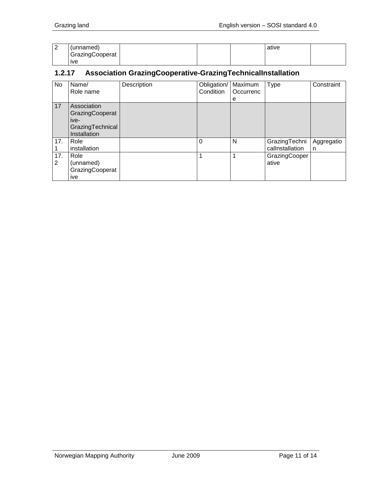| ◠<br><u>_</u> | (unnamed)       |  | ative |  |
|---------------|-----------------|--|-------|--|
|               | GrazingCooperat |  |       |  |
|               | <b>IVe</b>      |  |       |  |

#### <span id="page-10-0"></span>**1.2.17 Association GrazingCooperative-GrazingTechnicalInstallation**

| No.      | Name/<br>Role name                                                         | Description | Obligation/<br>Condition | Maximum<br>Occurrenc<br>е | Type                             | Constraint      |
|----------|----------------------------------------------------------------------------|-------------|--------------------------|---------------------------|----------------------------------|-----------------|
| 17       | Association<br>GrazingCooperat<br>ive-<br>GrazingTechnical<br>Installation |             |                          |                           |                                  |                 |
| 17.      | Role<br>installation                                                       |             | $\Omega$                 | N                         | GrazingTechni<br>callnstallation | Aggregatio<br>n |
| 17.<br>2 | Role<br>(unnamed)<br>GrazingCooperat<br>ive                                |             |                          |                           | GrazingCooper<br>ative           |                 |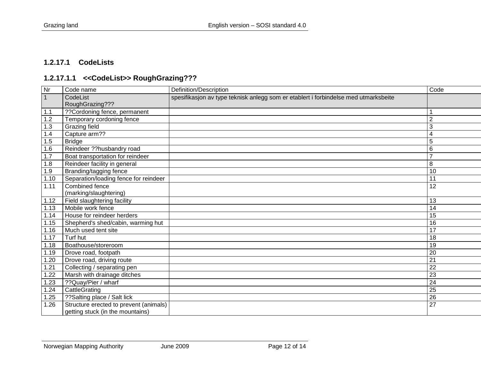#### **1.2.17.1 CodeLists**

# **1.2.17.1.1 <<CodeList>> RoughGrazing???**

<span id="page-11-1"></span><span id="page-11-0"></span>

| Nr   | Code name                              | Definition/Description                                                              | Code           |
|------|----------------------------------------|-------------------------------------------------------------------------------------|----------------|
| 1    | CodeList                               | spesifikasjon av type teknisk anlegg som er etablert i forbindelse med utmarksbeite |                |
|      | RoughGrazing???                        |                                                                                     |                |
| 1.1  | ?? Cordoning fence, permanent          |                                                                                     |                |
| 1.2  | Temporary cordoning fence              |                                                                                     | $\overline{2}$ |
| 1.3  | Grazing field                          |                                                                                     | 3              |
| 1.4  | Capture arm??                          |                                                                                     | 4              |
| 1.5  | <b>Bridge</b>                          |                                                                                     | 5              |
| 1.6  | Reindeer ??husbandry road              |                                                                                     | 6              |
| 1.7  | Boat transportation for reindeer       |                                                                                     | $\overline{7}$ |
| 1.8  | Reindeer facility in general           |                                                                                     | 8              |
| 1.9  | Branding/tagging fence                 |                                                                                     | 10             |
| 1.10 | Separation/loading fence for reindeer  |                                                                                     | 11             |
| 1.11 | Combined fence                         |                                                                                     | 12             |
|      | (marking/slaughtering)                 |                                                                                     |                |
| 1.12 | Field slaughtering facility            |                                                                                     | 13             |
| 1.13 | Mobile work fence                      |                                                                                     | 14             |
| 1.14 | House for reindeer herders             |                                                                                     | 15             |
| 1.15 | Shepherd's shed/cabin, warming hut     |                                                                                     | 16             |
| 1.16 | Much used tent site                    |                                                                                     | 17             |
| 1.17 | Turf hut                               |                                                                                     | 18             |
| 1.18 | Boathouse/storeroom                    |                                                                                     | 19             |
| 1.19 | Drove road, footpath                   |                                                                                     | 20             |
| 1.20 | Drove road, driving route              |                                                                                     | 21             |
| 1.21 | Collecting / separating pen            |                                                                                     | 22             |
| 1.22 | Marsh with drainage ditches            |                                                                                     | 23             |
| 1.23 | ??Quay/Pier / wharf                    |                                                                                     | 24             |
| 1.24 | CattleGrating                          |                                                                                     | 25             |
| 1.25 | ??Salting place / Salt lick            |                                                                                     | 26             |
| 1.26 | Structure erected to prevent (animals) |                                                                                     | 27             |
|      | getting stuck (in the mountains)       |                                                                                     |                |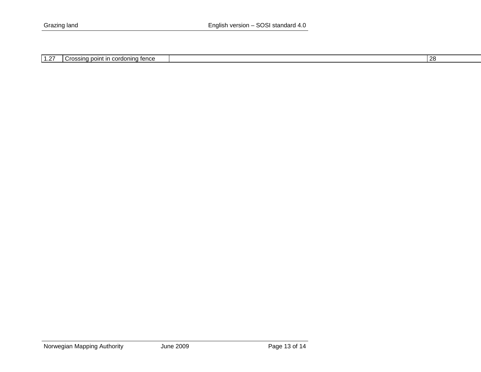| 1.27 | I Crossing point in cordoning fence |  | -28 |
|------|-------------------------------------|--|-----|
|------|-------------------------------------|--|-----|